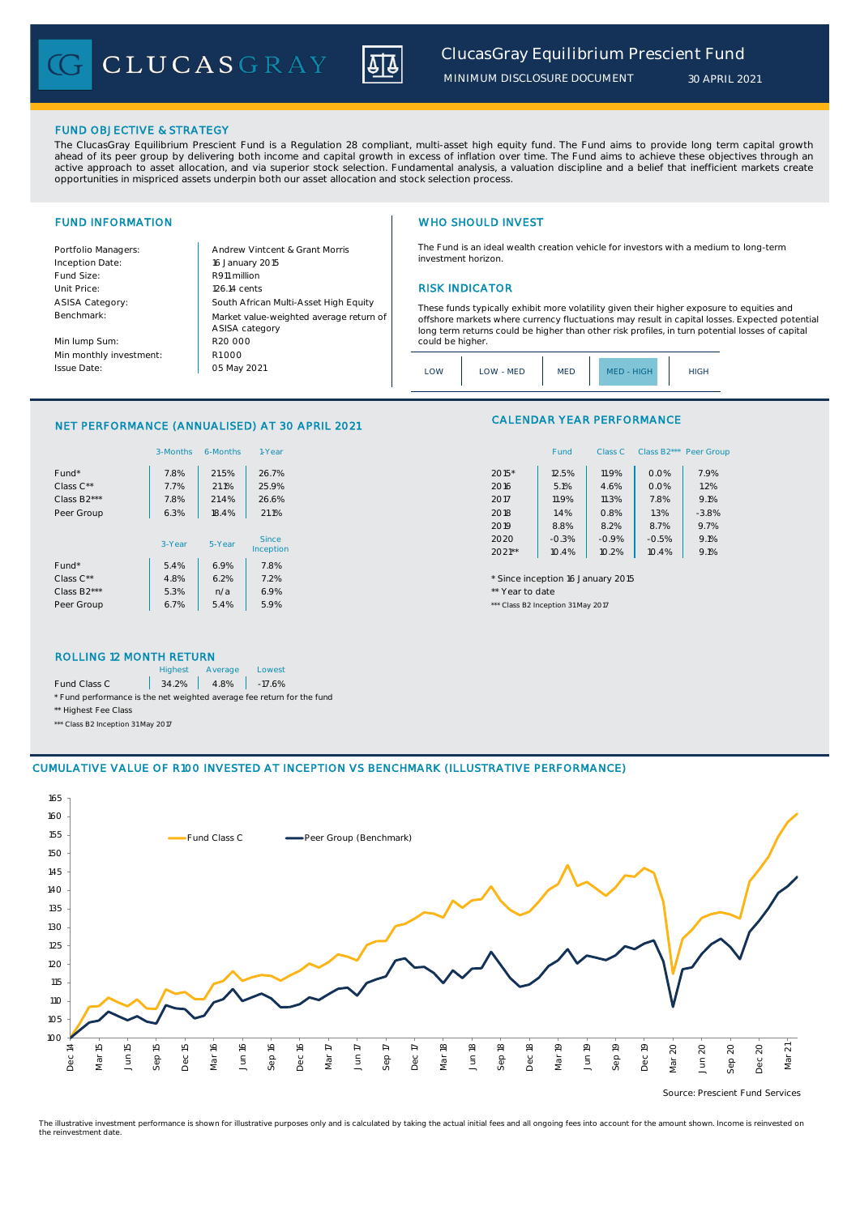CLUCASGRAY



### FUND OBJECTIVE & STRATEGY

The ClucasGray Equilibrium Prescient Fund is a Regulation 28 compliant, multi-asset high equity fund. The Fund aims to provide long term capital growth ahead of its peer group by delivering both income and capital growth in excess of inflation over time. The Fund aims to achieve these objectives through an<br>active approach to asset allocation, and via superior stock select opportunities in mispriced assets underpin both our asset allocation and stock selection process.

Inception Date: Fund Size: R911 million ASISA Category: Benchmark:

Min lump Sum: Min monthly investment: Issue Date:

Portfolio Managers: <br>Andrew Vintcent & Grant Morris Unit Price: 126.14 cents RISK INDICATOR South African Multi-Asset High Equity 16 January 2015 R20 000 Market value-weighted average return of ASISA category 05 May 2021 R1 000

## FUND INFORMATION **WHO SHOULD INVEST**

The Fund is an ideal wealth creation vehicle for investors with a medium to long-term investment horizon.

These funds typically exhibit more volatility given their higher exposure to equities and offshore markets where currency fluctuations may result in capital losses. Expected potential long term returns could be higher than other risk profiles, in turn potential losses of capital could be higher

| .OW<br>HIGH<br><b>MED</b><br>LOW - MED<br>HIGH.<br>$MFD -$ |  |  |  |  |  |
|------------------------------------------------------------|--|--|--|--|--|
|------------------------------------------------------------|--|--|--|--|--|

### NET PERFORMANCE (ANNUALISED) AT 30 APRIL 2021

|                          | 3-Months | 6-Months | 1-Year       |                 | Fund                               | Class C | Class B2*** Peer Gro |         |
|--------------------------|----------|----------|--------------|-----------------|------------------------------------|---------|----------------------|---------|
| Fund*                    | 7.8%     | 21.5%    | 26.7%        | $2015*$         | 12.5%                              | 11.9%   | 0.0%                 | 7.9%    |
| Class C**                | 7.7%     | 21.1%    | 25.9%        | 2016            | 5.1%                               | 4.6%    | 0.0%                 | 1.2%    |
| Class B <sub>2</sub> *** | 7.8%     | 21.4%    | 26.6%        | 2017            | 11.9%                              | 11.3%   | 7.8%                 | 9.1%    |
| Peer Group               | 6.3%     | 18.4%    | 21.1%        | 2018            | 1.4%                               | 0.8%    | 1.3%                 | $-3.8%$ |
|                          |          |          |              | 2019            | 8.8%                               | 8.2%    | 8.7%                 | 9.7%    |
|                          | 3-Year   | 5-Year   | <b>Since</b> | 2020            | $-0.3%$                            | $-0.9%$ | $-0.5%$              | 9.1%    |
|                          |          |          | Inception    | $2021**$        | 10.4%                              | 10.2%   | 10.4%                | 9.1%    |
| Fund*                    | 5.4%     | 6.9%     | 7.8%         |                 |                                    |         |                      |         |
| Class $C^{\star\star}$   | 4.8%     | 6.2%     | 7.2%         |                 | * Since inception 16 January 2015  |         |                      |         |
| Class B <sub>2</sub> *** | 5.3%     | n/a      | 6.9%         | ** Year to date |                                    |         |                      |         |
| Peer Group               | 6.7%     | 5.4%     | 5.9%         |                 | *** Class B2 Inception 31 May 2017 |         |                      |         |

# CALENDAR YEAR PERFORMANCE

| 1-Year  |          | Fund    | Class C | Class B <sub>2</sub> *** | Peer Group |
|---------|----------|---------|---------|--------------------------|------------|
| 26.7%   | 2015*    | 12.5%   | 11.9%   | 0.0%                     | 7.9%       |
| 25.9%   | 2016     | 5.1%    | 4.6%    | 0.0%                     | 1.2%       |
| 26.6%   | 2017     | 11.9%   | 11.3%   | 7.8%                     | 9.1%       |
| 21.1%   | 2018     | 1.4%    | 0.8%    | 1.3%                     | $-3.8%$    |
|         | 2019     | 8.8%    | 8.2%    | 8.7%                     | 9.7%       |
| Since   | 2020     | $-0.3%$ | $-0.9%$ | $-0.5%$                  | 9.1%       |
| ception | $2021**$ | 10.4%   | 10.2%   | 10.4%                    | 9.1%       |
|         |          |         |         |                          |            |

### ROLLING 12 MONTH RETURN

|                                                                        | <b>Highest</b> | Average              | Lowest |  |  |
|------------------------------------------------------------------------|----------------|----------------------|--------|--|--|
| Fund Class C                                                           |                | $34.2\%$ 4.8% -17.6% |        |  |  |
| * Fund performance is the net weighted average fee return for the fund |                |                      |        |  |  |
| ** Highest Fee Class                                                   |                |                      |        |  |  |

\*\*\* Class B2 Inception 31 May 2017

## CUMULATIVE VALUE OF R100 INVESTED AT INCEPTION VS BENCHMARK (ILLUSTRATIVE PERFORMANCE)



Source: Prescient Fund Services

The illustrative investment performance is shown for illustrative purposes only and is calculated by taking the actual initial fees and all ongoing fees into account for the amount shown. Income is reinvested on the reinvestment date.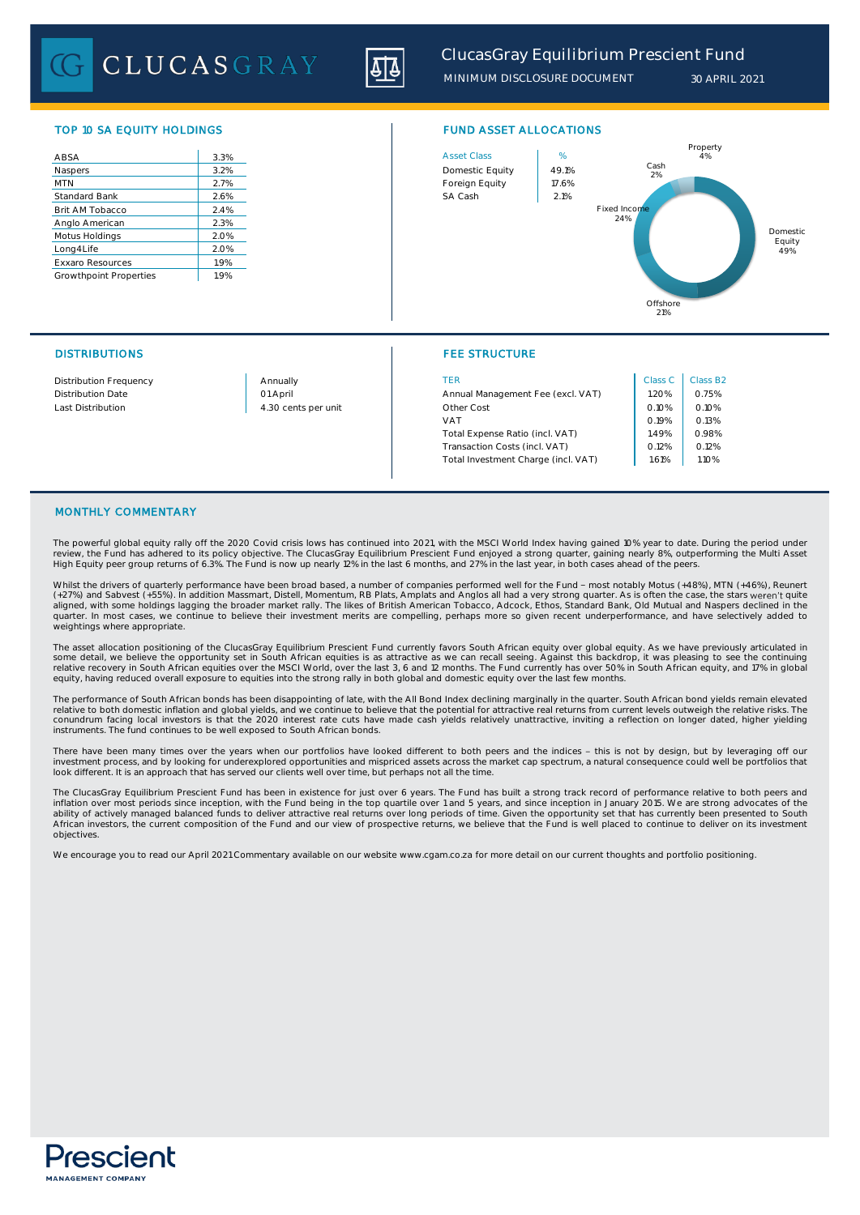CLUCASGRAY



# TOP 10 SA EQUITY HOLDINGS FUND ASSET ALLOCATIONS

| 3.3%<br>3.2%<br>2.7%<br>2.6%<br>2.4%<br>2.3%<br>2.0%<br>2.0%<br>1.9%<br>1.9% |                         |  |
|------------------------------------------------------------------------------|-------------------------|--|
|                                                                              | ABSA                    |  |
|                                                                              | Naspers                 |  |
|                                                                              | <b>MTN</b>              |  |
|                                                                              | <b>Standard Bank</b>    |  |
|                                                                              | Brit AM Tobacco         |  |
|                                                                              | Anglo American          |  |
|                                                                              | Motus Holdings          |  |
|                                                                              | Long4Life               |  |
|                                                                              | <b>Exxaro Resources</b> |  |
|                                                                              | Growthpoint Properties  |  |

# DISTRIBUTIONS FEE STRUCTURE



| <b>Distribution Frequency</b> | Annually            | TFR                                 | Class C | Class B <sub>2</sub> |
|-------------------------------|---------------------|-------------------------------------|---------|----------------------|
| <b>Distribution Date</b>      | 01 April            | Annual Management Fee (excl. VAT)   | 1.20%   | 0.75%                |
| Last Distribution             | 4.30 cents per unit | Other Cost                          | 0.10%   | 0.10%                |
|                               |                     | VAT                                 | 0.19%   | 0.13%                |
|                               |                     | Total Expense Ratio (incl. VAT)     | 1.49%   | 0.98%                |
|                               |                     | Transaction Costs (incl. VAT)       | 0.12%   | 0.12%                |
|                               |                     | Total Investment Charge (incl. VAT) | 1.61%   | 1.10%                |
|                               |                     |                                     |         |                      |

### MONTHLY COMMENTARY

The powerful global equity rally off the 2020 Covid crisis lows has continued into 2021, with the MSCI World Index having gained 10% year to date. During the period under review, the Fund has adhered to its policy objective. The ClucasGray Equilibrium Prescient Fund enjoyed a strong quarter, gaining nearly 8%, outperforming the Multi Asset<br>High Equity peer group returns of 6.3%. The Fund is

Whilst the drivers of quarterly performance have been broad based, a number of companies performed well for the Fund - most notably Motus (+48%), MTN (+46%), Reunert<br>(+27%) and Sabvest (+55%). In addition Massmart, Distell aligned, with some holdings lagging the broader market rally. The likes of British American Tobacco, Adcock, Ethos, Standard Bank, Old Mutual and Naspers declined in the<br>quarter. In most cases, we continue to believe their weightings where appropriate.

The asset allocation positioning of the ClucasGray Equilibrium Prescient Fund currently favors South African equity over global equity. As we have previously articulated in some detail, we believe the opportunity set in South African equities is as attractive as we can recall seeing. Against this backdrop, it was pleasing to see the continuing<br>relative recovery in South African equities over equity, having reduced overall exposure to equities into the strong rally in both global and domestic equity over the last few months.

The performance of South African bonds has been disappointing of late, with the All Bond Index declining marginally in the quarter. South African bond yields remain elevated<br>relative to both domestic inflation and global y instruments. The fund continues to be well exposed to South African bonds.

There have been many times over the years when our portfolios have looked different to both peers and the indices - this is not by design, but by leveraging off our<br>investment process, and by looking for underexplored oppo look different. It is an approach that has served our clients well over time, but perhaps not all the time.

The ClucasGray Equilibrium Prescient Fund has been in existence for just over 6 years. The Fund has built a strong track record of performance relative to both peers and<br>inflation over most periods since inception, with th African investors, the current composition of the Fund and our view of prospective returns, we believe that the Fund is well placed to continue to deliver on its investment objectives.

We encourage you to read our April 2021 Commentary available on our website www.cgam.co.za for more detail on our current thoughts and portfolio positioning.